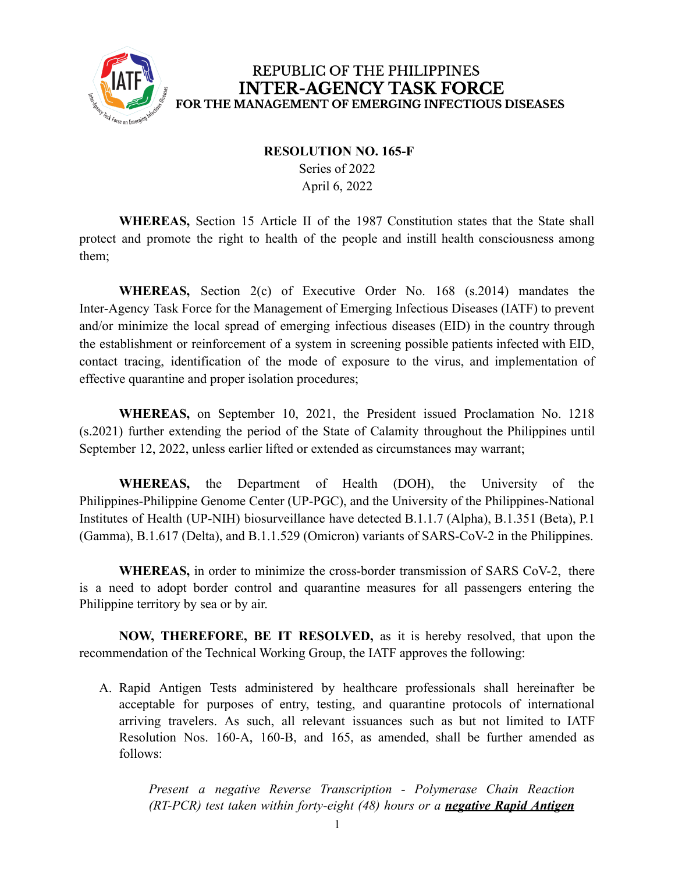

## REPUBLIC OF THE PHILIPPINES **INTER-AGENCY TASK FORCE** FOR THE MANAGEMENT OF EMERGING INFECTIOUS DISEASES

## **RESOLUTION NO. 165-F**

Series of 2022 April 6, 2022

**WHEREAS,** Section 15 Article II of the 1987 Constitution states that the State shall protect and promote the right to health of the people and instill health consciousness among them;

**WHEREAS,** Section 2(c) of Executive Order No. 168 (s.2014) mandates the Inter-Agency Task Force for the Management of Emerging Infectious Diseases (IATF) to prevent and/or minimize the local spread of emerging infectious diseases (EID) in the country through the establishment or reinforcement of a system in screening possible patients infected with EID, contact tracing, identification of the mode of exposure to the virus, and implementation of effective quarantine and proper isolation procedures;

**WHEREAS,** on September 10, 2021, the President issued Proclamation No. 1218 (s.2021) further extending the period of the State of Calamity throughout the Philippines until September 12, 2022, unless earlier lifted or extended as circumstances may warrant;

**WHEREAS,** the Department of Health (DOH), the University of the Philippines-Philippine Genome Center (UP-PGC), and the University of the Philippines-National Institutes of Health (UP-NIH) biosurveillance have detected B.1.1.7 (Alpha), B.1.351 (Beta), P.1 (Gamma), B.1.617 (Delta), and B.1.1.529 (Omicron) variants of SARS-CoV-2 in the Philippines.

**WHEREAS,** in order to minimize the cross-border transmission of SARS CoV-2, there is a need to adopt border control and quarantine measures for all passengers entering the Philippine territory by sea or by air.

**NOW, THEREFORE, BE IT RESOLVED,** as it is hereby resolved, that upon the recommendation of the Technical Working Group, the IATF approves the following:

A. Rapid Antigen Tests administered by healthcare professionals shall hereinafter be acceptable for purposes of entry, testing, and quarantine protocols of international arriving travelers. As such, all relevant issuances such as but not limited to IATF Resolution Nos. 160-A, 160-B, and 165, as amended, shall be further amended as follows:

*Present a negative Reverse Transcription - Polymerase Chain Reaction (RT-PCR) test taken within forty-eight (48) hours or a negative Rapid Antigen*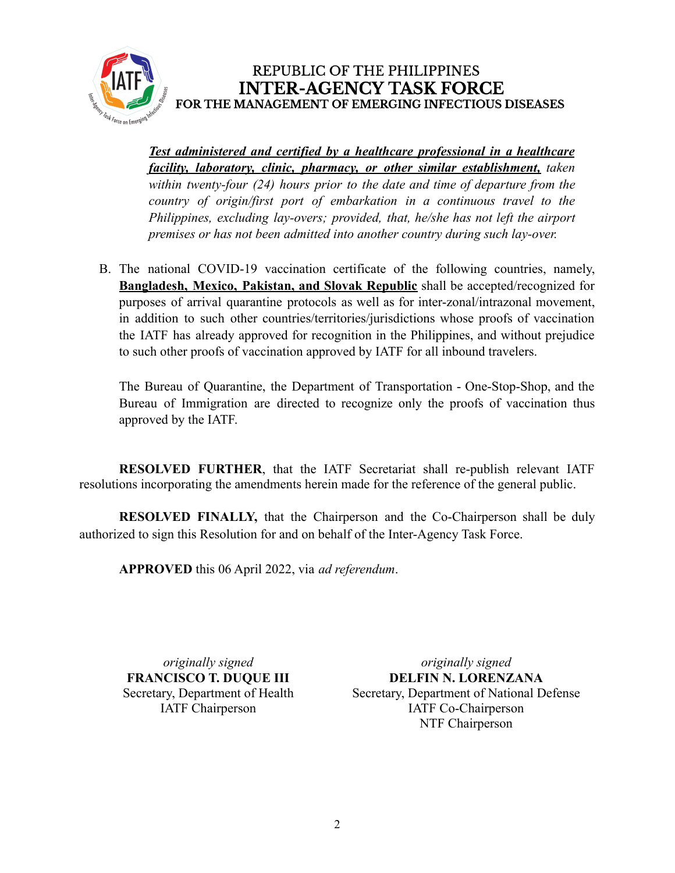

## REPUBLIC OF THE PHILIPPINES **INTER-AGENCY TASK FORCE** FOR THE MANAGEMENT OF EMERGING INFECTIOUS DISEASES

*Test administered and certified by a healthcare professional in a healthcare facility, laboratory, clinic, pharmacy, or other similar establishment, taken within twenty-four (24) hours prior to the date and time of departure from the country of origin/first port of embarkation in a continuous travel to the Philippines, excluding lay-overs; provided, that, he/she has not left the airport premises or has not been admitted into another country during such lay-over.*

B. The national COVID-19 vaccination certificate of the following countries, namely, **Bangladesh, Mexico, Pakistan, and Slovak Republic** shall be accepted/recognized for purposes of arrival quarantine protocols as well as for inter-zonal/intrazonal movement, in addition to such other countries/territories/jurisdictions whose proofs of vaccination the IATF has already approved for recognition in the Philippines, and without prejudice to such other proofs of vaccination approved by IATF for all inbound travelers.

The Bureau of Quarantine, the Department of Transportation - One-Stop-Shop, and the Bureau of Immigration are directed to recognize only the proofs of vaccination thus approved by the IATF.

**RESOLVED FURTHER**, that the IATF Secretariat shall re-publish relevant IATF resolutions incorporating the amendments herein made for the reference of the general public.

**RESOLVED FINALLY,** that the Chairperson and the Co-Chairperson shall be duly authorized to sign this Resolution for and on behalf of the Inter-Agency Task Force.

**APPROVED** this 06 April 2022, via *ad referendum*.

*originally signed* **FRANCISCO T. DUQUE III** Secretary, Department of Health IATF Chairperson

*originally signed* **DELFIN N. LORENZANA** Secretary, Department of National Defense IATF Co-Chairperson NTF Chairperson